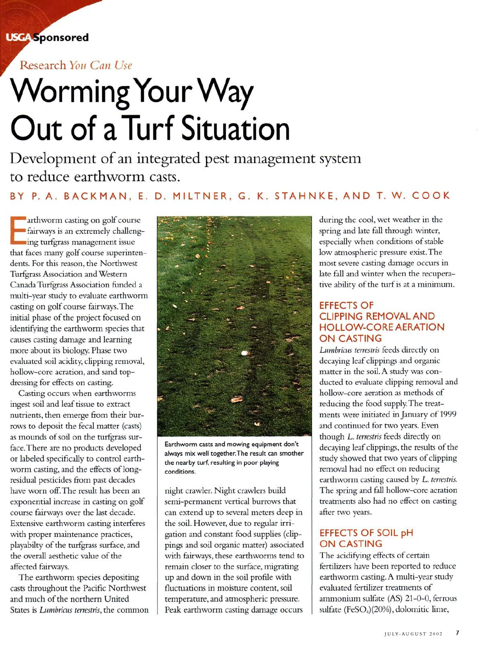**USGA** Sponsored

Research You Can Use

# **Worming Your Way Out of aTurf Situation**

Development of an integrated pest management system to reduce earthworm casts.

# BY P. A. BACKMAN, E. D. MilTNER, G. K. STAHNKE, AND T. W. COOK

Fairways is an extremely challeng-<br>ing turfgrass management issue arthworm casting on golf course ing turfgrass management issue that faces many golf course superintendents. For this reason, the Northwest Turfgrass Association and Western Canada Turfgrass Association funded a multi-year study to evaluate earthworm casting on golf course fairways. The initial phase of the project focused on identifying the earthworm species that causes casting damage and learning more about its biology. Phase two evaluated soil acidity, clipping removal, hollow-core aeration, and sand topdressing for effects on casting.

Casting occurs when earthworms ingest soil and leaf tissue to extract nutrients, then emerge from their burrows to deposit the fecal matter (casts) as mounds of soil on the turfgrass surface. There are no products developed or labeled specifically to control earthworm casting, and the effects of longresidual pesticides from past decades have worn off. The result has been an exponential increase in casting on golf course fairways over the last decade. Extensive earthworm casting interferes with proper maintenance practices, playabilty of the turfgrass surface, and the overall aesthetic value of the affected fairways.

The earthworm species depositing casts throughout the Pacific Northwest and much of the northern United States is *Lumbricus terrestris,* the common



Earthworm casts and mowing equipment don't always mix well together.The result can smother the nearby turf, resulting in poor playing conditions.

night crawler. Night crawlers build semi-permanent vertical burrows that can extend up to several meters deep in the soil. However, due to regular irrigation and constant food supplies (clippings and soil organic matter) associated with fairways, these earthworms tend to remain closer to the surface, migrating up and down in the soil profile with fluctuations in moisture content, soil temperature, and atmospheric pressure. Peak earthworm casting damage occurs

during the cool, wet weather in the spring and late fall through winter, especially when conditions of stable low atmospheric pressure exist. The most severe casting damage occurs in late fall and winter when the recuperative ability of the turf is at a minimum.

## **EFFECTS OF** CLIPPING REMOVALAND HOllOW-CORE AERATION ON CASTING

*Lumbricus terrestris* feeds directly on decaying leaf clippings and organic matter in the soil. A study was conducted to evaluate clipping removal and hollow-core aeration as methods of reducing the food supply. The treatments were initiated in January of 1999 and continued for two years. Even though L. *terrestris* feeds directly on decaying leaf clippings, the results of the study showed that two years of clipping removal had no effect on reducing earthworm casting caused by L. *terrestris.* The spring and fall hollow-core aeration treatments also had no effect on casting after two years.

# EFFECTS OF SOIL pH ON CASTING

The acidifying effects of certain fertilizers have been reported to reduce earthworm casting. A multi-year study evaluated fertilizer treatments of ammonium sulfate (AS) 21-0-0, ferrous sulfate (FeSO<sub>4</sub>)(20%), dolomitic lime,